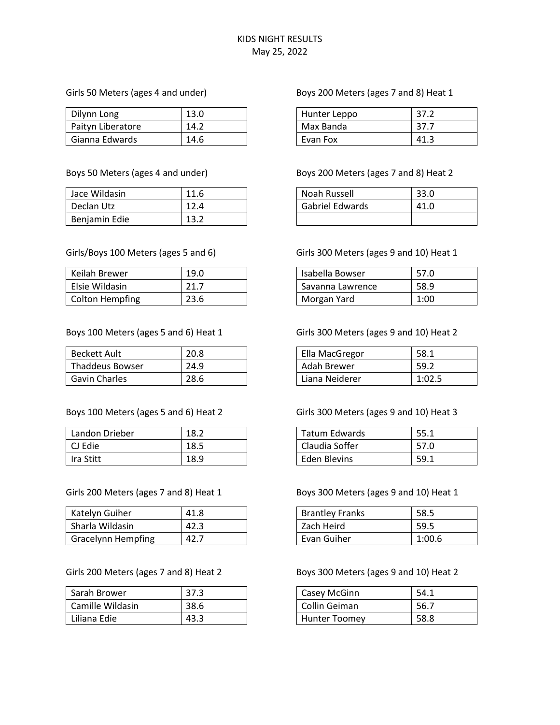#### Girls 50 Meters (ages 4 and under)

| Dilynn Long       | 13.0 |
|-------------------|------|
| Paityn Liberatore | 14.2 |
| Gianna Edwards    | 14.6 |

#### Boys 50 Meters (ages 4 and under)

| Jace Wildasin | 11.6 |
|---------------|------|
| Declan Utz    | 12.4 |
| Benjamin Edie | 13.2 |

#### Girls/Boys 100 Meters (ages 5 and 6)

| Keilah Brewer          | 19.0 |
|------------------------|------|
| Elsie Wildasin         | 21.7 |
| <b>Colton Hempfing</b> | 23.6 |

#### Boys 100 Meters (ages 5 and 6) Heat 1

| <b>Beckett Ault</b>    | 20.8 |
|------------------------|------|
| <b>Thaddeus Bowser</b> | 24.9 |
| <b>Gavin Charles</b>   | 28.6 |

#### Boys 100 Meters (ages 5 and 6) Heat 2

| Landon Drieber | 18.2 |
|----------------|------|
| l CJ Edie      | 18.5 |
| Ira Stitt      | 18.9 |

#### Girls 200 Meters (ages 7 and 8) Heat 1

| Katelyn Guiher            | 41.8 |
|---------------------------|------|
| Sharla Wildasin           | 42.3 |
| <b>Gracelynn Hempfing</b> | 42.7 |

Girls 200 Meters (ages 7 and 8) Heat 2

| Sarah Brower     | 37.3 |
|------------------|------|
| Camille Wildasin | 38.6 |
| Liliana Edie     | 43.3 |

#### Boys 200 Meters (ages 7 and 8) Heat 1

| Hunter Leppo | 37.2 |
|--------------|------|
| Max Banda    | 37.7 |
| Evan Fox     | 41.3 |

#### Boys 200 Meters (ages 7 and 8) Heat 2

| Noah Russell           | 33.0 |
|------------------------|------|
| <b>Gabriel Edwards</b> | 41.0 |
|                        |      |

#### Girls 300 Meters (ages 9 and 10) Heat 1

| Isabella Bowser  | 57.0 |
|------------------|------|
| Savanna Lawrence | 58.9 |
| Morgan Yard      | 1:00 |

### Girls 300 Meters (ages 9 and 10) Heat 2

| Ella MacGregor | 58.1   |
|----------------|--------|
| Adah Brewer    | 59.2   |
| Liana Neiderer | 1:02.5 |

#### Girls 300 Meters (ages 9 and 10) Heat 3

| Tatum Edwards       | 55.1 |
|---------------------|------|
| Claudia Soffer      | 57.0 |
| <b>Eden Blevins</b> | 59.1 |

#### Boys 300 Meters (ages 9 and 10) Heat 1

| <b>Brantley Franks</b> | 58.5   |
|------------------------|--------|
| Zach Heird             | 59.5   |
| Evan Guiher            | 1:00.6 |

#### Boys 300 Meters (ages 9 and 10) Heat 2

| Casey McGinn         | 54.1 |
|----------------------|------|
| Collin Geiman        | 56.7 |
| <b>Hunter Toomey</b> | 58.8 |